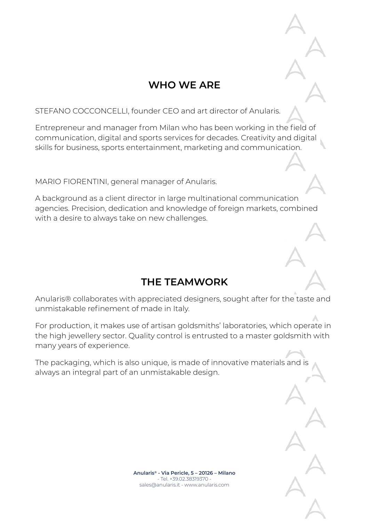## **WHO WE ARE**

STEFANO COCCONCELLI, founder CEO and art director of Anularis.

Entrepreneur and manager from Milan who has been working in the field of communication, digital and sports services for decades. Creativity and digital skills for business, sports entertainment, marketing and communication.

MARIO FIORENTINI, general manager of Anularis.

A background as a client director in large multinational communication agencies. Precision, dedication and knowledge of foreign markets, combined with a desire to always take on new challenges.

## **THE TEAMWORK**

Anularis® collaborates with appreciated designers, sought after for the taste and unmistakable refinement of made in Italy.

For production, it makes use of artisan goldsmiths' laboratories, which operate in the high jewellery sector. Quality control is entrusted to a master goldsmith with many years of experience.

The packaging, which is also unique, is made of innovative materials and is always an integral part of an unmistakable design.

> **Anularis® - Via Pericle, 5 – 20126 – Milano** - Tel. +39.02.38319370 sales@anularis.it - www.anularis.com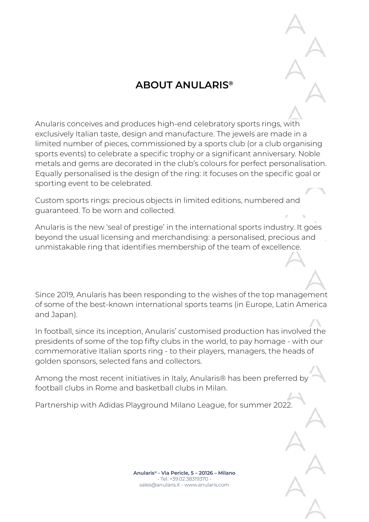# **ABOUT ANULARIS®**

Anularis conceives and produces high-end celebratory sports rings, with exclusively Italian taste, design and manufacture. The jewels are made in a limited number of pieces, commissioned by a sports club (or a club organising sports events) to celebrate a specific trophy or a significant anniversary. Noble metals and gems are decorated in the club's colours for perfect personalisation. Equally personalised is the design of the ring: it focuses on the specific goal or sporting event to be celebrated.

Custom sports rings: precious objects in limited editions, numbered and guaranteed. To be worn and collected.

Anularis is the new 'seal of prestige' in the international sports industry. It goes beyond the usual licensing and merchandising: a personalised, precious and unmistakable ring that identifies membership of the team of excellence.

Since 2019, Anularis has been responding to the wishes of the top management of some of the best-known international sports teams (in Europe, Latin America and Japan).

In football, since its inception, Anularis' customised production has involved the presidents of some of the top fifty clubs in the world, to pay homage - with our commemorative Italian sports ring - to their players, managers, the heads of golden sponsors, selected fans and collectors.

Among the most recent initiatives in Italy, Anularis® has been preferred by football clubs in Rome and basketball clubs in Milan.

Partnership with Adidas Playground Milano League, for summer 2022.

**Anularis® - Via Pericle, 5 – 20126 – Milano** - Tel. +39.02.38319370 sales@anularis.it - www.anularis.com